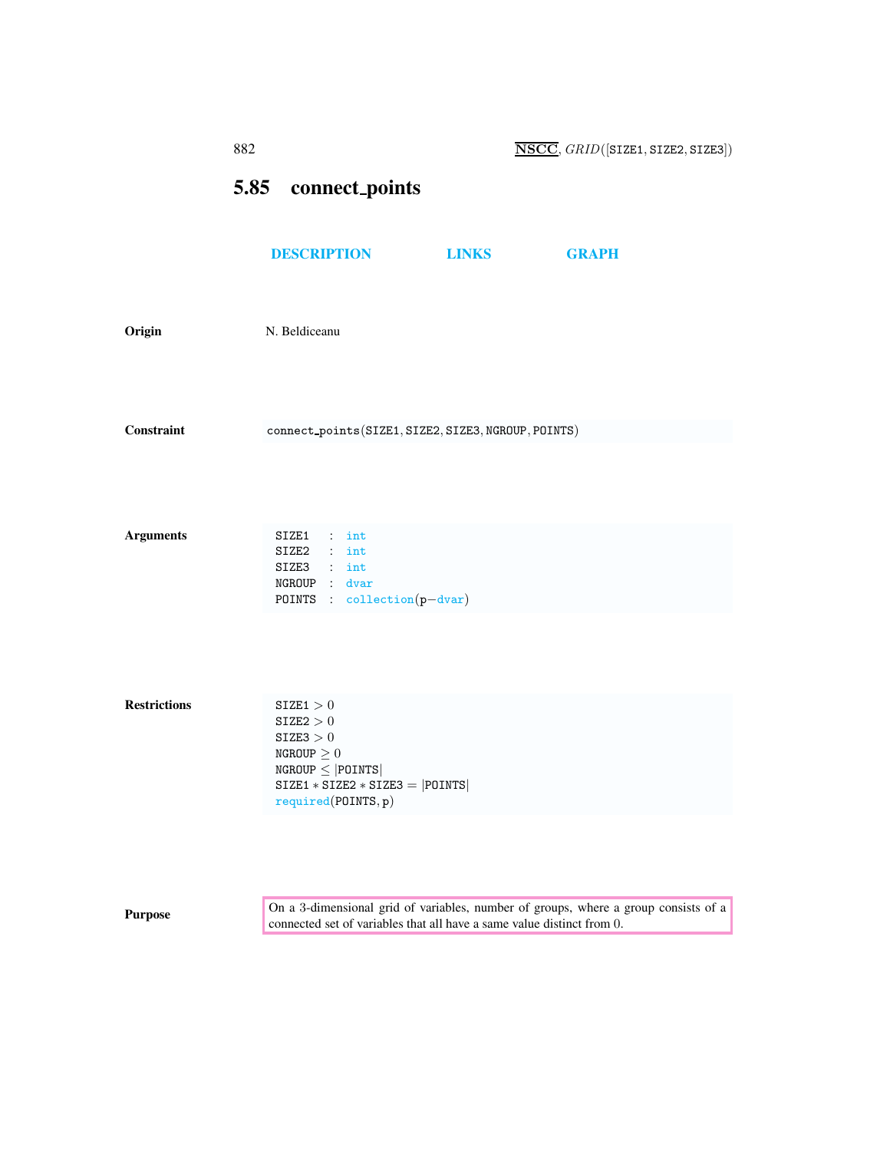## <span id="page-0-0"></span>5.85 connect points

|                     | <b>DESCRIPTION</b>                                                                                    | <b>LINKS</b> | <b>GRAPH</b> |
|---------------------|-------------------------------------------------------------------------------------------------------|--------------|--------------|
| Origin              | N. Beldiceanu                                                                                         |              |              |
| <b>Constraint</b>   | connect_points(SIZE1, SIZE2, SIZE3, NGROUP, POINTS)                                                   |              |              |
|                     |                                                                                                       |              |              |
| <b>Arguments</b>    | SIZE1 : int<br>SIZE2 : int<br>SIZE3 : int                                                             |              |              |
|                     | NGROUP : dvar<br>POINTS : collection(p-dvar)                                                          |              |              |
|                     |                                                                                                       |              |              |
| <b>Restrictions</b> | SIZE1 > 0<br>$\texttt{SIZE2} > 0$<br>$\texttt{SIZE3} > 0$                                             |              |              |
|                     | NGROUP $\geq 0$<br>$NGROUP \le  POINTS $<br>$SIZE1 * SIZE2 * SIZE3 =  POINTS $<br>required(POINTS, p) |              |              |
|                     |                                                                                                       |              |              |
|                     |                                                                                                       |              |              |

**Purpose** On a 3-dimensional grid of variables, number of groups, where a group consists of a group consists of a connected set of variables that all have a same value distinct from 0.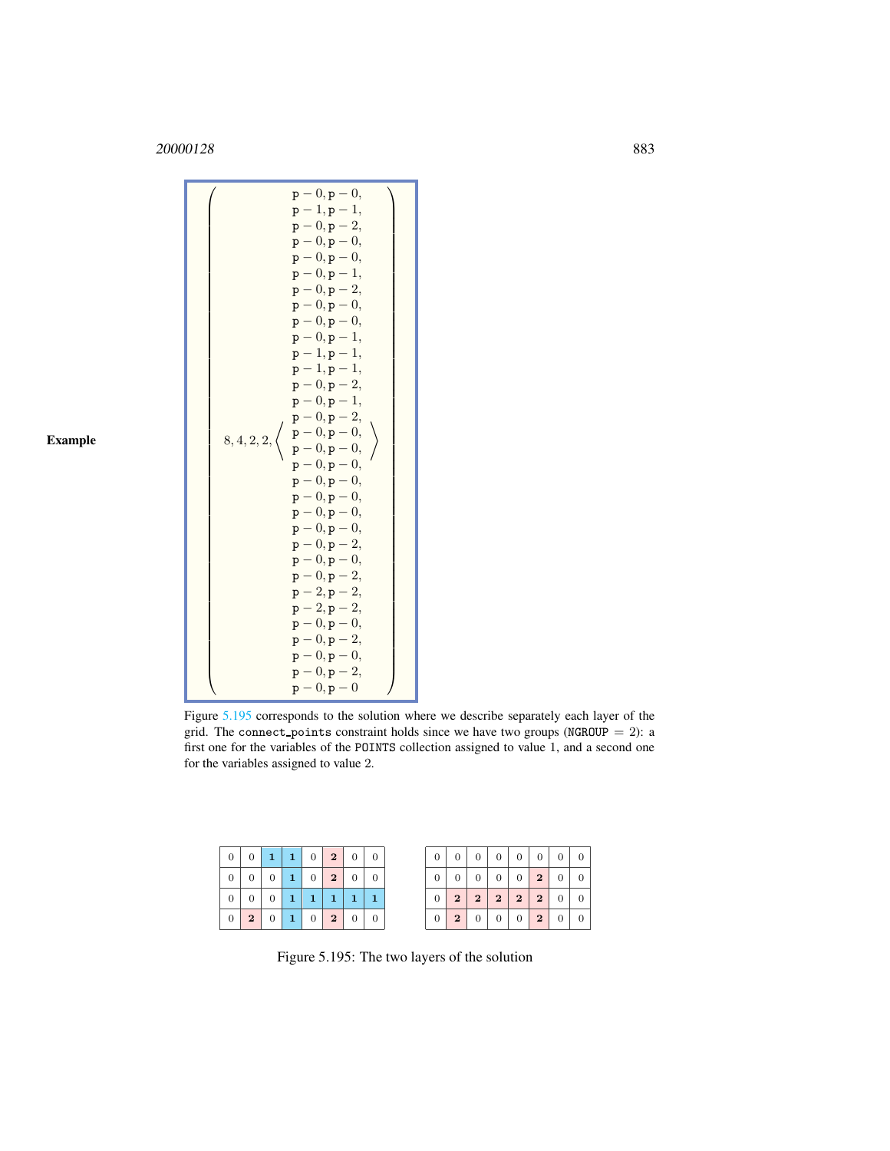<sup>20000128</sup> 883

Example

| $p - 0, p - 0,$<br>$p - 0, p - 1,$<br>$p - 0, p - 2,$<br>$p - 0, p - 0,$<br>$p - 0, p - 0,$<br>$p - 0, p - 1,$<br>$p-1, p-1,$<br>$p - 1, p - 1,$<br>$p - 0, p - 2,$<br>$p - 0, p - 1,$<br>$p - 0, p - 2,$<br>$\mathtt{p}-0, \mathtt{p}-0,$<br>$8, 4, 2, 2, \langle$<br>$p - 0, p - 0,$<br>$p - 0, p - 0,$<br>$p - 0, p - 0,$<br>$p - 0, p - 0,$<br>$p - 0, p - 0,$<br>$p - 0, p - 0,$<br>$p - 0, p - 2,$<br>$p - 0, p - 0,$<br>$p - 0, p - 2,$<br>$p - 2, p - 2,$<br>$p - 2, p - 2,$<br>$p - 0, p - 0,$<br>$p - 0, p - 2,$<br>$p - 0, p - 0,$<br>$p - 0, p - 2,$ |
|------------------------------------------------------------------------------------------------------------------------------------------------------------------------------------------------------------------------------------------------------------------------------------------------------------------------------------------------------------------------------------------------------------------------------------------------------------------------------------------------------------------------------------------------------------------|
|------------------------------------------------------------------------------------------------------------------------------------------------------------------------------------------------------------------------------------------------------------------------------------------------------------------------------------------------------------------------------------------------------------------------------------------------------------------------------------------------------------------------------------------------------------------|

Figure [5.195](#page-1-0) corresponds to the solution where we describe separately each layer of the grid. The connect\_points constraint holds since we have two groups (NGROUP =  $2$ ): a first one for the variables of the POINTS collection assigned to value 1, and a second one for the variables assigned to value 2.

| 0 <sup>1</sup>  |                |          | $0 \mid 1 \mid 1 \mid 0 \mid 2 \mid 0$ |                         |                | $\theta$ |
|-----------------|----------------|----------|----------------------------------------|-------------------------|----------------|----------|
| $\overline{0}$  | 0 <sup>1</sup> | $\sim 0$ | 102                                    |                         | $\overline{0}$ |          |
| $\overline{0}$  | $\overline{0}$ | $\theta$ | $\perp$                                | $\vert 1 \vert 1 \vert$ | $\mathbf{1}$   |          |
| $\cdot$ 0 $\pm$ |                |          | 2011020                                |                         |                | 0        |

<span id="page-1-0"></span>Figure 5.195: The two layers of the solution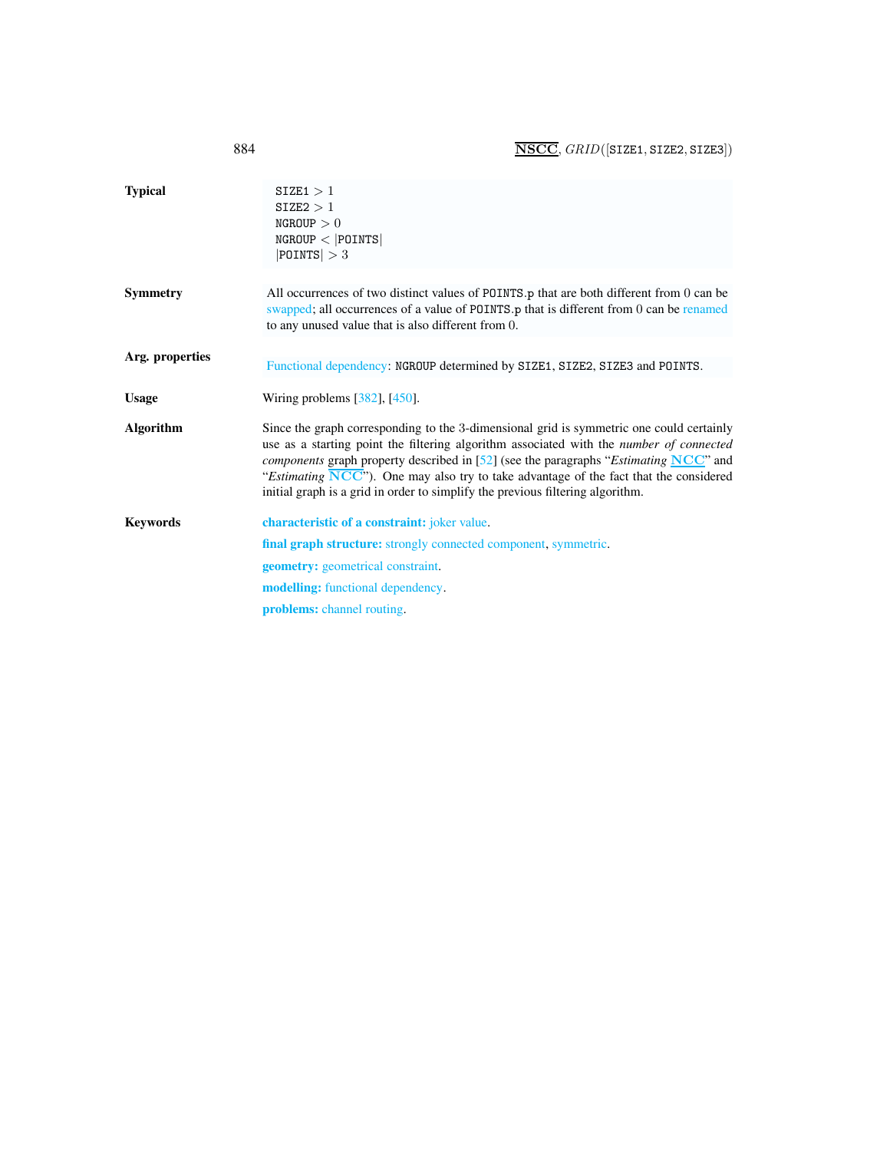<span id="page-2-0"></span>

| 884             | $\overline{\text{NSCC}}, \text{GRID}(\text{SIZE1}, \text{SIZE2}, \text{SIZE3})$                                                                                                                                                                                                                                                                                                                                                                                                                     |
|-----------------|-----------------------------------------------------------------------------------------------------------------------------------------------------------------------------------------------------------------------------------------------------------------------------------------------------------------------------------------------------------------------------------------------------------------------------------------------------------------------------------------------------|
| <b>Typical</b>  | SIZE1 > 1<br>SIZE2 > 1<br>NGROUP > 0<br>$NGROUP <  $ POINTS $ $<br>$ $ POINTS $ >3$                                                                                                                                                                                                                                                                                                                                                                                                                 |
| Symmetry        | All occurrences of two distinct values of POINTS.p that are both different from 0 can be<br>swapped; all occurrences of a value of POINTS.p that is different from 0 can be renamed<br>to any unused value that is also different from 0.                                                                                                                                                                                                                                                           |
| Arg. properties | Functional dependency: NGROUP determined by SIZE1, SIZE2, SIZE3 and POINTS.                                                                                                                                                                                                                                                                                                                                                                                                                         |
|                 |                                                                                                                                                                                                                                                                                                                                                                                                                                                                                                     |
| <b>Usage</b>    | Wiring problems $[382]$ , $[450]$ .                                                                                                                                                                                                                                                                                                                                                                                                                                                                 |
| Algorithm       | Since the graph corresponding to the 3-dimensional grid is symmetric one could certainly<br>use as a starting point the filtering algorithm associated with the <i>number of connected</i><br><i>components</i> graph property described in $[52]$ (see the paragraphs " <i>Estimating</i> NCC" and<br>"Estimating $\overline{\text{NCC}}$ "). One may also try to take advantage of the fact that the considered<br>initial graph is a grid in order to simplify the previous filtering algorithm. |
| Keywords        | characteristic of a constraint: joker value.                                                                                                                                                                                                                                                                                                                                                                                                                                                        |
|                 | final graph structure: strongly connected component, symmetric.                                                                                                                                                                                                                                                                                                                                                                                                                                     |
|                 | <b>geometry:</b> geometrical constraint.                                                                                                                                                                                                                                                                                                                                                                                                                                                            |
|                 | <b>modelling:</b> functional dependency.                                                                                                                                                                                                                                                                                                                                                                                                                                                            |
|                 | <b>problems:</b> channel routing.                                                                                                                                                                                                                                                                                                                                                                                                                                                                   |
|                 |                                                                                                                                                                                                                                                                                                                                                                                                                                                                                                     |